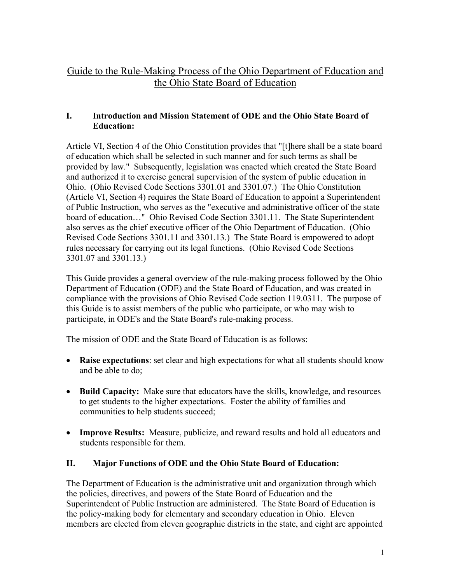# Guide to the Rule-Making Process of the Ohio Department of Education and the Ohio State Board of Education

### **I. Introduction and Mission Statement of ODE and the Ohio State Board of Education:**

Article VI, Section 4 of the Ohio Constitution provides that "[t]here shall be a state board of education which shall be selected in such manner and for such terms as shall be provided by law." Subsequently, legislation was enacted which created the State Board and authorized it to exercise general supervision of the system of public education in Ohio. (Ohio Revised Code Sections 3301.01 and 3301.07.) The Ohio Constitution (Article VI, Section 4) requires the State Board of Education to appoint a Superintendent of Public Instruction, who serves as the "executive and administrative officer of the state board of education…" Ohio Revised Code Section 3301.11. The State Superintendent also serves as the chief executive officer of the Ohio Department of Education. (Ohio Revised Code Sections 3301.11 and 3301.13.) The State Board is empowered to adopt rules necessary for carrying out its legal functions. (Ohio Revised Code Sections 3301.07 and 3301.13.)

This Guide provides a general overview of the rule-making process followed by the Ohio Department of Education (ODE) and the State Board of Education, and was created in compliance with the provisions of Ohio Revised Code section 119.0311. The purpose of this Guide is to assist members of the public who participate, or who may wish to participate, in ODE's and the State Board's rule-making process.

The mission of ODE and the State Board of Education is as follows:

- **Raise expectations**: set clear and high expectations for what all students should know and be able to do;
- **Build Capacity:** Make sure that educators have the skills, knowledge, and resources to get students to the higher expectations. Foster the ability of families and communities to help students succeed;
- **Improve Results:** Measure, publicize, and reward results and hold all educators and students responsible for them.

## **II. Major Functions of ODE and the Ohio State Board of Education:**

The Department of Education is the administrative unit and organization through which the policies, directives, and powers of the State Board of Education and the Superintendent of Public Instruction are administered. The State Board of Education is the policy-making body for elementary and secondary education in Ohio. Eleven members are elected from eleven geographic districts in the state, and eight are appointed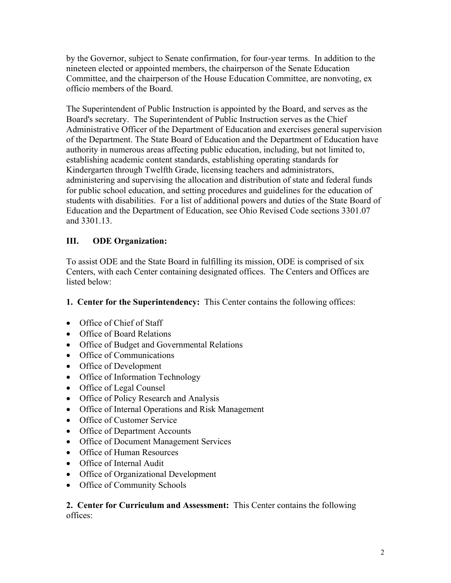by the Governor, subject to Senate confirmation, for four-year terms. In addition to the nineteen elected or appointed members, the chairperson of the Senate Education Committee, and the chairperson of the House Education Committee, are nonvoting, ex officio members of the Board.

The Superintendent of Public Instruction is appointed by the Board, and serves as the Board's secretary. The Superintendent of Public Instruction serves as the Chief Administrative Officer of the Department of Education and exercises general supervision of the Department. The State Board of Education and the Department of Education have authority in numerous areas affecting public education, including, but not limited to, establishing academic content standards, establishing operating standards for Kindergarten through Twelfth Grade, licensing teachers and administrators, administering and supervising the allocation and distribution of state and federal funds for public school education, and setting procedures and guidelines for the education of students with disabilities. For a list of additional powers and duties of the State Board of Education and the Department of Education, see Ohio Revised Code sections 3301.07 and 3301.13.

## **III. ODE Organization:**

To assist ODE and the State Board in fulfilling its mission, ODE is comprised of six Centers, with each Center containing designated offices. The Centers and Offices are listed below:

**1. Center for the Superintendency:** This Center contains the following offices:

- Office of Chief of Staff
- Office of Board Relations
- Office of Budget and Governmental Relations
- Office of Communications
- Office of Development
- Office of Information Technology
- Office of Legal Counsel
- Office of Policy Research and Analysis
- Office of Internal Operations and Risk Management
- Office of Customer Service
- Office of Department Accounts
- Office of Document Management Services
- Office of Human Resources
- Office of Internal Audit
- Office of Organizational Development
- Office of Community Schools

**2. Center for Curriculum and Assessment:** This Center contains the following offices: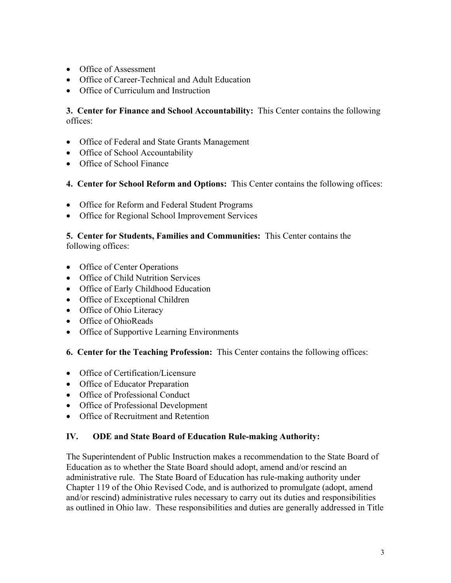- Office of Assessment
- Office of Career-Technical and Adult Education
- Office of Curriculum and Instruction

**3. Center for Finance and School Accountability:** This Center contains the following offices:

- Office of Federal and State Grants Management
- Office of School Accountability
- Office of School Finance
- **4. Center for School Reform and Options:** This Center contains the following offices:
- Office for Reform and Federal Student Programs
- Office for Regional School Improvement Services

**5. Center for Students, Families and Communities:** This Center contains the following offices:

- Office of Center Operations
- Office of Child Nutrition Services
- Office of Early Childhood Education
- Office of Exceptional Children
- Office of Ohio Literacy
- Office of OhioReads
- Office of Supportive Learning Environments

**6. Center for the Teaching Profession:** This Center contains the following offices:

- Office of Certification/Licensure
- Office of Educator Preparation
- Office of Professional Conduct
- Office of Professional Development
- Office of Recruitment and Retention

#### **IV. ODE and State Board of Education Rule-making Authority:**

The Superintendent of Public Instruction makes a recommendation to the State Board of Education as to whether the State Board should adopt, amend and/or rescind an administrative rule. The State Board of Education has rule-making authority under Chapter 119 of the Ohio Revised Code, and is authorized to promulgate (adopt, amend and/or rescind) administrative rules necessary to carry out its duties and responsibilities as outlined in Ohio law. These responsibilities and duties are generally addressed in Title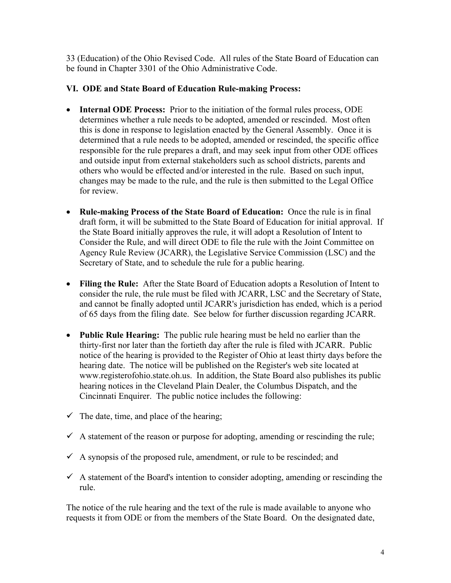33 (Education) of the Ohio Revised Code. All rules of the State Board of Education can be found in Chapter 3301 of the Ohio Administrative Code.

#### **VI. ODE and State Board of Education Rule-making Process:**

- **Internal ODE Process:** Prior to the initiation of the formal rules process, ODE determines whether a rule needs to be adopted, amended or rescinded. Most often this is done in response to legislation enacted by the General Assembly. Once it is determined that a rule needs to be adopted, amended or rescinded, the specific office responsible for the rule prepares a draft, and may seek input from other ODE offices and outside input from external stakeholders such as school districts, parents and others who would be effected and/or interested in the rule. Based on such input, changes may be made to the rule, and the rule is then submitted to the Legal Office for review.
- **Rule-making Process of the State Board of Education:** Once the rule is in final draft form, it will be submitted to the State Board of Education for initial approval. If the State Board initially approves the rule, it will adopt a Resolution of Intent to Consider the Rule, and will direct ODE to file the rule with the Joint Committee on Agency Rule Review (JCARR), the Legislative Service Commission (LSC) and the Secretary of State, and to schedule the rule for a public hearing.
- **Filing the Rule:** After the State Board of Education adopts a Resolution of Intent to consider the rule, the rule must be filed with JCARR, LSC and the Secretary of State, and cannot be finally adopted until JCARR's jurisdiction has ended, which is a period of 65 days from the filing date. See below for further discussion regarding JCARR.
- **Public Rule Hearing:** The public rule hearing must be held no earlier than the thirty-first nor later than the fortieth day after the rule is filed with JCARR. Public notice of the hearing is provided to the Register of Ohio at least thirty days before the hearing date. The notice will be published on the Register's web site located at www.registerofohio.state.oh.us. In addition, the State Board also publishes its public hearing notices in the Cleveland Plain Dealer, the Columbus Dispatch, and the Cincinnati Enquirer. The public notice includes the following:
- $\checkmark$  The date, time, and place of the hearing;
- $\checkmark$  A statement of the reason or purpose for adopting, amending or rescinding the rule;
- $\checkmark$  A synopsis of the proposed rule, amendment, or rule to be rescinded; and
- $\checkmark$  A statement of the Board's intention to consider adopting, amending or rescinding the rule.

The notice of the rule hearing and the text of the rule is made available to anyone who requests it from ODE or from the members of the State Board. On the designated date,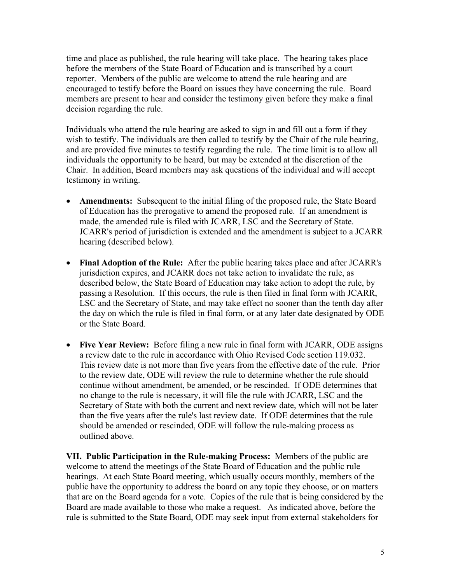time and place as published, the rule hearing will take place. The hearing takes place before the members of the State Board of Education and is transcribed by a court reporter. Members of the public are welcome to attend the rule hearing and are encouraged to testify before the Board on issues they have concerning the rule. Board members are present to hear and consider the testimony given before they make a final decision regarding the rule.

Individuals who attend the rule hearing are asked to sign in and fill out a form if they wish to testify. The individuals are then called to testify by the Chair of the rule hearing, and are provided five minutes to testify regarding the rule. The time limit is to allow all individuals the opportunity to be heard, but may be extended at the discretion of the Chair. In addition, Board members may ask questions of the individual and will accept testimony in writing.

- **Amendments:** Subsequent to the initial filing of the proposed rule, the State Board of Education has the prerogative to amend the proposed rule. If an amendment is made, the amended rule is filed with JCARR, LSC and the Secretary of State. JCARR's period of jurisdiction is extended and the amendment is subject to a JCARR hearing (described below).
- **Final Adoption of the Rule:** After the public hearing takes place and after JCARR's jurisdiction expires, and JCARR does not take action to invalidate the rule, as described below, the State Board of Education may take action to adopt the rule, by passing a Resolution. If this occurs, the rule is then filed in final form with JCARR, LSC and the Secretary of State, and may take effect no sooner than the tenth day after the day on which the rule is filed in final form, or at any later date designated by ODE or the State Board.
- **Five Year Review:** Before filing a new rule in final form with JCARR, ODE assigns a review date to the rule in accordance with Ohio Revised Code section 119.032. This review date is not more than five years from the effective date of the rule. Prior to the review date, ODE will review the rule to determine whether the rule should continue without amendment, be amended, or be rescinded. If ODE determines that no change to the rule is necessary, it will file the rule with JCARR, LSC and the Secretary of State with both the current and next review date, which will not be later than the five years after the rule's last review date. If ODE determines that the rule should be amended or rescinded, ODE will follow the rule-making process as outlined above.

**VII. Public Participation in the Rule-making Process:** Members of the public are welcome to attend the meetings of the State Board of Education and the public rule hearings. At each State Board meeting, which usually occurs monthly, members of the public have the opportunity to address the board on any topic they choose, or on matters that are on the Board agenda for a vote. Copies of the rule that is being considered by the Board are made available to those who make a request. As indicated above, before the rule is submitted to the State Board, ODE may seek input from external stakeholders for